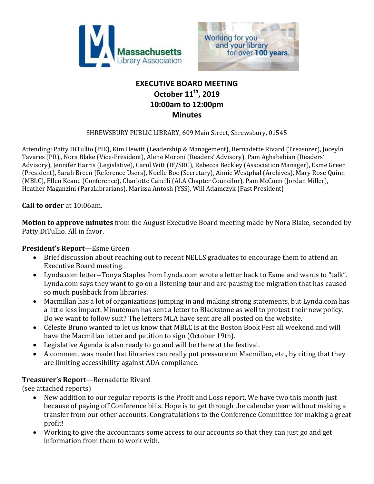



# **EXECUTIVE BOARD MEETING October 11th, 2019 10:00am to 12:00pm Minutes**

SHREWSBURY PUBLIC LIBRARY, 609 Main Street, Shrewsbury, 01545

Attending: Patty DiTullio (PIE), Kim Hewitt (Leadership & Management), Bernadette Rivard (Treasurer), Joceyln Tavares (PR),, Nora Blake (Vice-President), Alene Moroni (Readers' Advisory), Pam Aghababian (Readers' Advisory), Jennifer Harris (Legislative), Carol Witt (IF/SRC), Rebecca Beckley (Association Manager), Esme Green (President), Sarah Breen (Reference Users), Noelle Boc (Secretary), Aimie Westphal (Archives), Mary Rose Quinn (MBLC), Ellen Keane (Conference), Charlotte Canelli (ALA Chapter Councilor), Pam McCuen (Jordan Miller), Heather Maganzini (ParaLibrarians), Marissa Antosh (YSS), Will Adamczyk (Past President)

**Call to order** at 10:06am.

**Motion to approve minutes** from the August Executive Board meeting made by Nora Blake, seconded by Patty DiTullio. All in favor.

### **President's Report**—Esme Green

- Brief discussion about reaching out to recent NELLS graduates to encourage them to attend an Executive Board meeting
- Lynda.com letter--Tonya Staples from Lynda.com wrote a letter back to Esme and wants to "talk". Lynda.com says they want to go on a listening tour and are pausing the migration that has caused so much pushback from libraries.
- Macmillan has a lot of organizations jumping in and making strong statements, but Lynda.com has a little less impact. Minuteman has sent a letter to Blackstone as well to protest their new policy. Do we want to follow suit? The letters MLA have sent are all posted on the website.
- Celeste Bruno wanted to let us know that MBLC is at the Boston Book Fest all weekend and will have the Macmillan letter and petition to sign (October 19th).
- Legislative Agenda is also ready to go and will be there at the festival.
- A comment was made that libraries can really put pressure on Macmillan, etc., by citing that they are limiting accessibility against ADA compliance.

### **Treasurer's Repor**t—Bernadette Rivard

(see attached reports)

- New addition to our regular reports is the Profit and Loss report. We have two this month just because of paying off Conference bills. Hope is to get through the calendar year without making a transfer from our other accounts. Congratulations to the Conference Committee for making a great profit!
- Working to give the accountants some access to our accounts so that they can just go and get information from them to work with.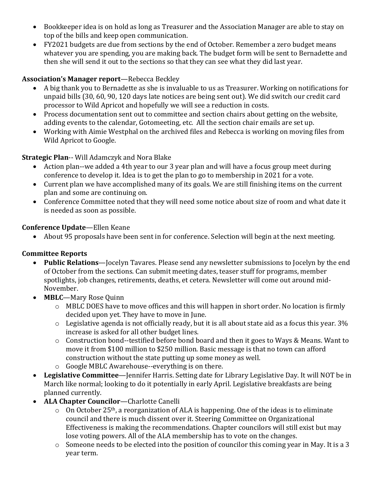- Bookkeeper idea is on hold as long as Treasurer and the Association Manager are able to stay on top of the bills and keep open communication.
- FY2021 budgets are due from sections by the end of October. Remember a zero budget means whatever you are spending, you are making back. The budget form will be sent to Bernadette and then she will send it out to the sections so that they can see what they did last year.

## **Association's Manager report**—Rebecca Beckley

- A big thank you to Bernadette as she is invaluable to us as Treasurer. Working on notifications for unpaid bills (30, 60, 90, 120 days late notices are being sent out). We did switch our credit card processor to Wild Apricot and hopefully we will see a reduction in costs.
- Process documentation sent out to committee and section chairs about getting on the website, adding events to the calendar, Gotomeeting, etc. All the section chair emails are set up.
- Working with Aimie Westphal on the archived files and Rebecca is working on moving files from Wild Apricot to Google.

### **Strategic Plan**-- Will Adamczyk and Nora Blake

- Action plan--we added a 4th year to our 3 year plan and will have a focus group meet during conference to develop it. Idea is to get the plan to go to membership in 2021 for a vote.
- Current plan we have accomplished many of its goals. We are still finishing items on the current plan and some are continuing on.
- Conference Committee noted that they will need some notice about size of room and what date it is needed as soon as possible.

### **Conference Update**—Ellen Keane

About 95 proposals have been sent in for conference. Selection will begin at the next meeting.

### **Committee Reports**

- **Public Relations**—Jocelyn Tavares. Please send any newsletter submissions to Jocelyn by the end of October from the sections. Can submit meeting dates, teaser stuff for programs, member spotlights, job changes, retirements, deaths, et cetera. Newsletter will come out around mid-November.
- **MBLC**—Mary Rose Quinn
	- o MBLC DOES have to move offices and this will happen in short order. No location is firmly decided upon yet. They have to move in June.
	- $\circ$  Legislative agenda is not officially ready, but it is all about state aid as a focus this year. 3% increase is asked for all other budget lines.
	- o Construction bond--testified before bond board and then it goes to Ways & Means. Want to move it from \$100 million to \$250 million. Basic message is that no town can afford construction without the state putting up some money as well.
	- o Google MBLC Awarehouse--everything is on there.
- **Legislative Committee**—Jennifer Harris. Setting date for Library Legislative Day. It will NOT be in March like normal; looking to do it potentially in early April. Legislative breakfasts are being planned currently.
- **ALA Chapter Councilor**—Charlotte Canelli
	- $\circ$  On October 25<sup>th</sup>, a reorganization of ALA is happening. One of the ideas is to eliminate council and there is much dissent over it. Steering Committee on Organizational Effectiveness is making the recommendations. Chapter councilors will still exist but may lose voting powers. All of the ALA membership has to vote on the changes.
	- o Someone needs to be elected into the position of councilor this coming year in May. It is a 3 year term.